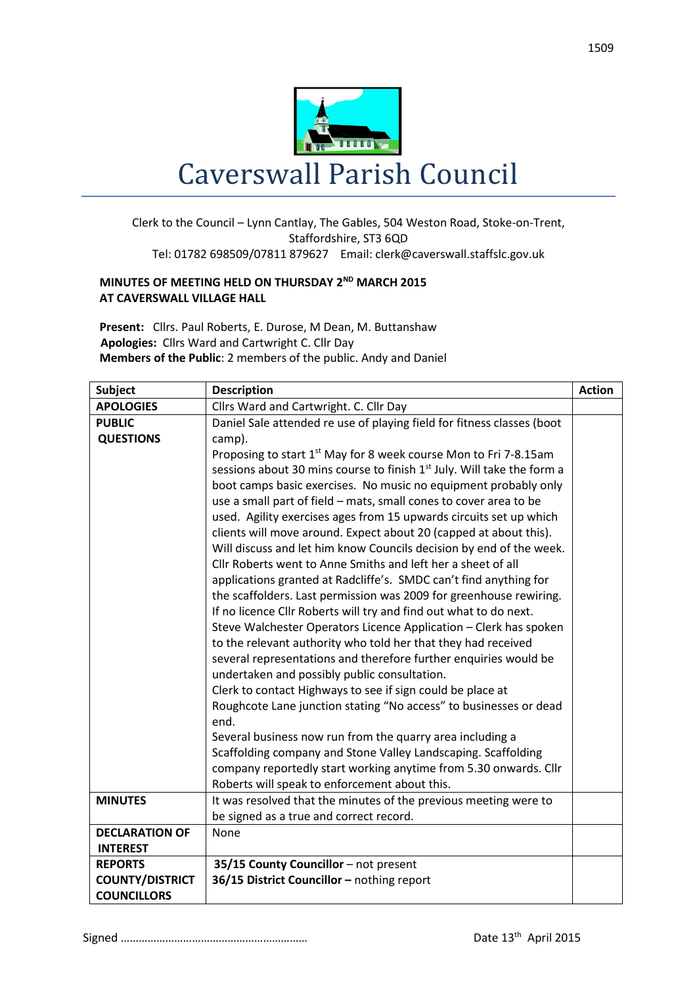

## Clerk to the Council – Lynn Cantlay, The Gables, 504 Weston Road, Stoke-on-Trent, Staffordshire, ST3 6QD Tel: 01782 698509/07811 879627 Email: clerk@caverswall.staffslc.gov.uk

## **MINUTES OF MEETING HELD ON THURSDAY 2<sup>ND</sup> MARCH 2015 AT CAVERSWALL VILLAGE HALL**

**Present:** Cllrs. Paul Roberts, E. Durose, M Dean, M. Buttanshaw  **Apologies:** Cllrs Ward and Cartwright C. Cllr Day **Members of the Public**: 2 members of the public. Andy and Daniel

| <b>Subject</b>         | <b>Description</b>                                                                                                                | <b>Action</b> |
|------------------------|-----------------------------------------------------------------------------------------------------------------------------------|---------------|
| <b>APOLOGIES</b>       | Cllrs Ward and Cartwright. C. Cllr Day                                                                                            |               |
| <b>PUBLIC</b>          | Daniel Sale attended re use of playing field for fitness classes (boot                                                            |               |
| <b>QUESTIONS</b>       | camp).                                                                                                                            |               |
|                        | Proposing to start 1 <sup>st</sup> May for 8 week course Mon to Fri 7-8.15am                                                      |               |
|                        | sessions about 30 mins course to finish 1 <sup>st</sup> July. Will take the form a                                                |               |
|                        | boot camps basic exercises. No music no equipment probably only                                                                   |               |
|                        | use a small part of field - mats, small cones to cover area to be                                                                 |               |
|                        | used. Agility exercises ages from 15 upwards circuits set up which                                                                |               |
|                        | clients will move around. Expect about 20 (capped at about this).                                                                 |               |
|                        | Will discuss and let him know Councils decision by end of the week.                                                               |               |
|                        | Cllr Roberts went to Anne Smiths and left her a sheet of all                                                                      |               |
|                        | applications granted at Radcliffe's. SMDC can't find anything for                                                                 |               |
|                        | the scaffolders. Last permission was 2009 for greenhouse rewiring.                                                                |               |
|                        | If no licence Cllr Roberts will try and find out what to do next.                                                                 |               |
|                        | Steve Walchester Operators Licence Application - Clerk has spoken                                                                 |               |
|                        | to the relevant authority who told her that they had received                                                                     |               |
|                        | several representations and therefore further enquiries would be                                                                  |               |
|                        | undertaken and possibly public consultation.                                                                                      |               |
|                        | Clerk to contact Highways to see if sign could be place at                                                                        |               |
|                        | Roughcote Lane junction stating "No access" to businesses or dead<br>end.                                                         |               |
|                        |                                                                                                                                   |               |
|                        | Several business now run from the quarry area including a                                                                         |               |
|                        | Scaffolding company and Stone Valley Landscaping. Scaffolding<br>company reportedly start working anytime from 5.30 onwards. Cllr |               |
|                        | Roberts will speak to enforcement about this.                                                                                     |               |
| <b>MINUTES</b>         | It was resolved that the minutes of the previous meeting were to                                                                  |               |
|                        | be signed as a true and correct record.                                                                                           |               |
| <b>DECLARATION OF</b>  | None                                                                                                                              |               |
| <b>INTEREST</b>        |                                                                                                                                   |               |
| <b>REPORTS</b>         | 35/15 County Councillor - not present                                                                                             |               |
| <b>COUNTY/DISTRICT</b> | 36/15 District Councillor - nothing report                                                                                        |               |
| <b>COUNCILLORS</b>     |                                                                                                                                   |               |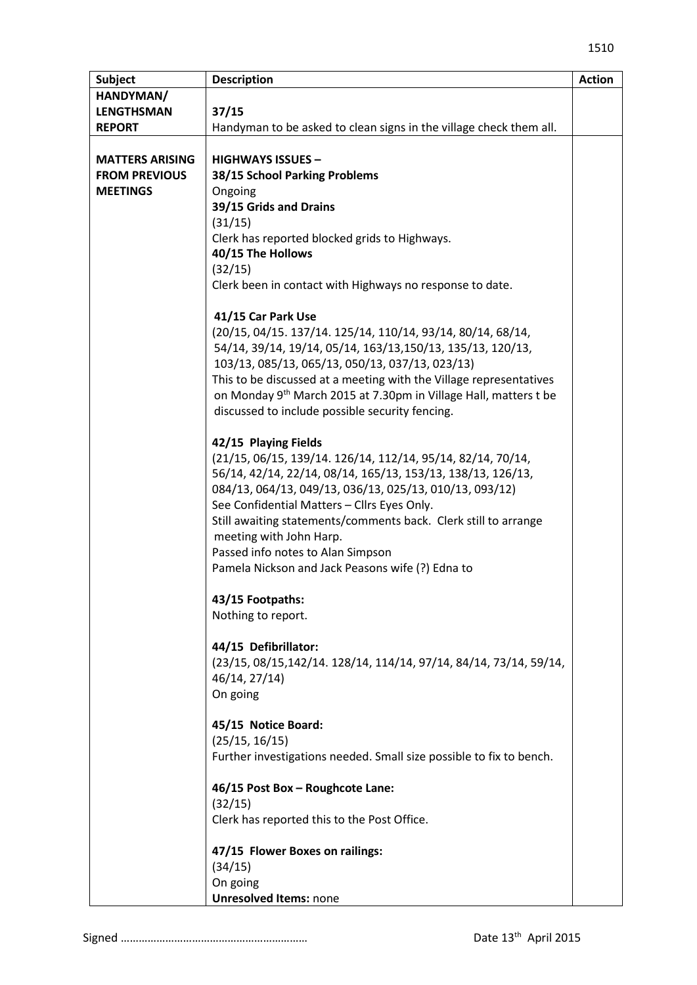| <b>Subject</b>         | <b>Description</b>                                                                    | <b>Action</b> |
|------------------------|---------------------------------------------------------------------------------------|---------------|
| HANDYMAN/              |                                                                                       |               |
| <b>LENGTHSMAN</b>      | 37/15                                                                                 |               |
| <b>REPORT</b>          | Handyman to be asked to clean signs in the village check them all.                    |               |
|                        |                                                                                       |               |
| <b>MATTERS ARISING</b> | <b>HIGHWAYS ISSUES -</b>                                                              |               |
| <b>FROM PREVIOUS</b>   | 38/15 School Parking Problems                                                         |               |
| <b>MEETINGS</b>        | Ongoing                                                                               |               |
|                        | 39/15 Grids and Drains                                                                |               |
|                        | (31/15)                                                                               |               |
|                        | Clerk has reported blocked grids to Highways.                                         |               |
|                        | 40/15 The Hollows                                                                     |               |
|                        | (32/15)                                                                               |               |
|                        | Clerk been in contact with Highways no response to date.                              |               |
|                        |                                                                                       |               |
|                        | 41/15 Car Park Use                                                                    |               |
|                        | (20/15, 04/15. 137/14. 125/14, 110/14, 93/14, 80/14, 68/14,                           |               |
|                        | 54/14, 39/14, 19/14, 05/14, 163/13, 150/13, 135/13, 120/13,                           |               |
|                        | 103/13, 085/13, 065/13, 050/13, 037/13, 023/13)                                       |               |
|                        | This to be discussed at a meeting with the Village representatives                    |               |
|                        | on Monday 9 <sup>th</sup> March 2015 at 7.30pm in Village Hall, matters t be          |               |
|                        | discussed to include possible security fencing.                                       |               |
|                        | 42/15 Playing Fields                                                                  |               |
|                        | (21/15, 06/15, 139/14. 126/14, 112/14, 95/14, 82/14, 70/14,                           |               |
|                        | 56/14, 42/14, 22/14, 08/14, 165/13, 153/13, 138/13, 126/13,                           |               |
|                        | 084/13, 064/13, 049/13, 036/13, 025/13, 010/13, 093/12)                               |               |
|                        | See Confidential Matters - Cllrs Eyes Only.                                           |               |
|                        | Still awaiting statements/comments back. Clerk still to arrange                       |               |
|                        | meeting with John Harp.                                                               |               |
|                        | Passed info notes to Alan Simpson                                                     |               |
|                        | Pamela Nickson and Jack Peasons wife (?) Edna to                                      |               |
|                        |                                                                                       |               |
|                        | 43/15 Footpaths:                                                                      |               |
|                        | Nothing to report.                                                                    |               |
|                        | 44/15 Defibrillator:                                                                  |               |
|                        | (23/15, 08/15, 142/14. 128/14, 114/14, 97/14, 84/14, 73/14, 59/14,                    |               |
|                        | 46/14, 27/14)                                                                         |               |
|                        | On going                                                                              |               |
|                        |                                                                                       |               |
|                        | 45/15 Notice Board:                                                                   |               |
|                        | (25/15, 16/15)<br>Further investigations needed. Small size possible to fix to bench. |               |
|                        |                                                                                       |               |
|                        | 46/15 Post Box - Roughcote Lane:                                                      |               |
|                        | (32/15)                                                                               |               |
|                        | Clerk has reported this to the Post Office.                                           |               |
|                        | 47/15 Flower Boxes on railings:                                                       |               |
|                        | (34/15)                                                                               |               |
|                        | On going                                                                              |               |
|                        | <b>Unresolved Items: none</b>                                                         |               |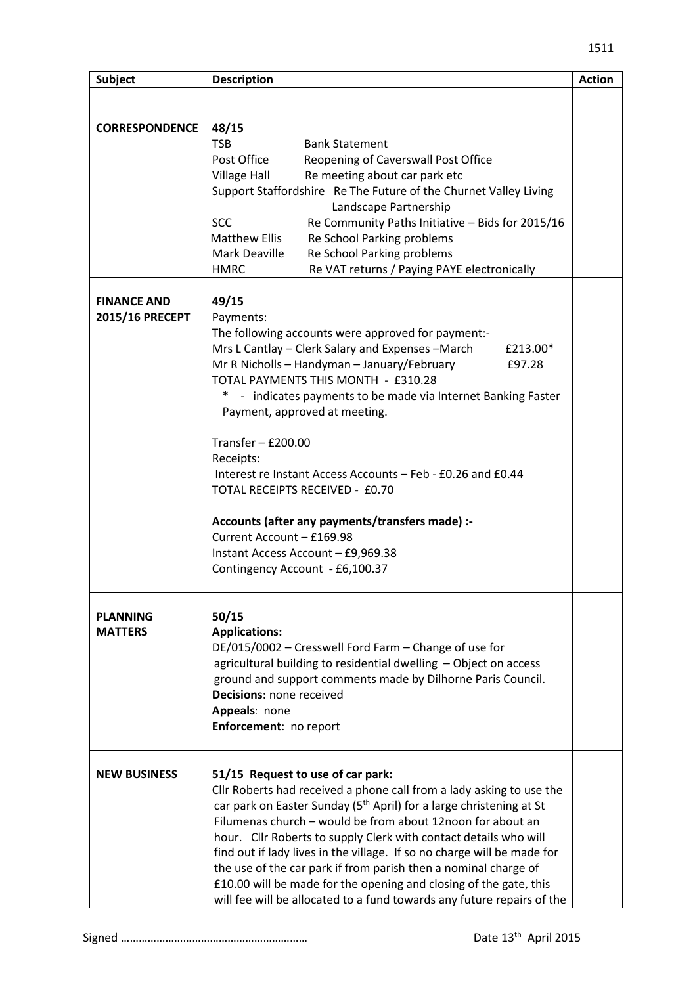| <b>Subject</b>                        | <b>Description</b>                                                                                                                                                                                                                                                                                                                                                                                                                                                                                                                                                                                                                                  | <b>Action</b> |
|---------------------------------------|-----------------------------------------------------------------------------------------------------------------------------------------------------------------------------------------------------------------------------------------------------------------------------------------------------------------------------------------------------------------------------------------------------------------------------------------------------------------------------------------------------------------------------------------------------------------------------------------------------------------------------------------------------|---------------|
|                                       |                                                                                                                                                                                                                                                                                                                                                                                                                                                                                                                                                                                                                                                     |               |
| <b>CORRESPONDENCE</b>                 | 48/15<br><b>TSB</b><br><b>Bank Statement</b><br>Post Office<br>Reopening of Caverswall Post Office<br>Village Hall<br>Re meeting about car park etc<br>Support Staffordshire Re The Future of the Churnet Valley Living<br>Landscape Partnership<br><b>SCC</b><br>Re Community Paths Initiative - Bids for 2015/16<br>Matthew Ellis<br>Re School Parking problems<br>Mark Deaville<br>Re School Parking problems<br><b>HMRC</b><br>Re VAT returns / Paying PAYE electronically                                                                                                                                                                      |               |
| <b>FINANCE AND</b><br>2015/16 PRECEPT | 49/15<br>Payments:<br>The following accounts were approved for payment:-<br>Mrs L Cantlay – Clerk Salary and Expenses – March<br>£213.00*<br>Mr R Nicholls - Handyman - January/February<br>£97.28<br>TOTAL PAYMENTS THIS MONTH - £310.28<br>$\ast$<br>- indicates payments to be made via Internet Banking Faster<br>Payment, approved at meeting.<br>Transfer $-$ £200.00<br>Receipts:<br>Interest re Instant Access Accounts - Feb - £0.26 and £0.44<br>TOTAL RECEIPTS RECEIVED - £0.70<br>Accounts (after any payments/transfers made) :-<br>Current Account - £169.98<br>Instant Access Account - £9,969.38<br>Contingency Account - £6,100.37 |               |
| <b>PLANNING</b><br><b>MATTERS</b>     | 50/15<br><b>Applications:</b><br>DE/015/0002 - Cresswell Ford Farm - Change of use for<br>agricultural building to residential dwelling - Object on access<br>ground and support comments made by Dilhorne Paris Council.<br>Decisions: none received<br>Appeals: none<br>Enforcement: no report                                                                                                                                                                                                                                                                                                                                                    |               |
| <b>NEW BUSINESS</b>                   | 51/15 Request to use of car park:<br>Cllr Roberts had received a phone call from a lady asking to use the<br>car park on Easter Sunday (5 <sup>th</sup> April) for a large christening at St<br>Filumenas church - would be from about 12noon for about an<br>hour. Cllr Roberts to supply Clerk with contact details who will<br>find out if lady lives in the village. If so no charge will be made for<br>the use of the car park if from parish then a nominal charge of<br>£10.00 will be made for the opening and closing of the gate, this<br>will fee will be allocated to a fund towards any future repairs of the                         |               |